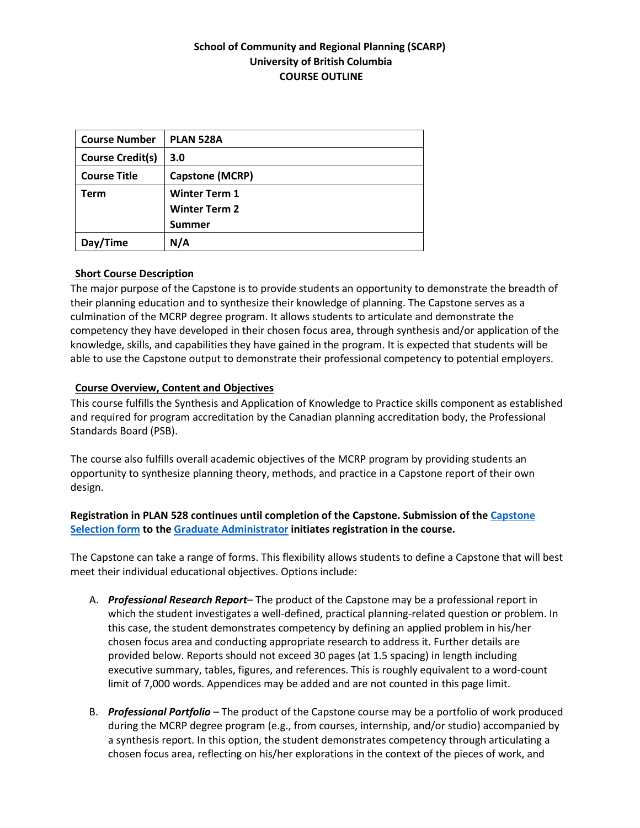## **School of Community and Regional Planning (SCARP) University of British Columbia COURSE OUTLINE**

| <b>Course Number</b>    | <b>PLAN 528A</b>       |
|-------------------------|------------------------|
| <b>Course Credit(s)</b> | 3.0                    |
| <b>Course Title</b>     | <b>Capstone (MCRP)</b> |
| Term                    | <b>Winter Term 1</b>   |
|                         | <b>Winter Term 2</b>   |
|                         | <b>Summer</b>          |
| Day/Time                | N/A                    |

### **Short Course Description**

The major purpose of the Capstone is to provide students an opportunity to demonstrate the breadth of their planning education and to synthesize their knowledge of planning. The Capstone serves as a culmination of the MCRP degree program. It allows students to articulate and demonstrate the competency they have developed in their chosen focus area, through synthesis and/or application of the knowledge, skills, and capabilities they have gained in the program. It is expected that students will be able to use the Capstone output to demonstrate their professional competency to potential employers.

### **Course Overview, Content and Objectives**

This course fulfills the Synthesis and Application of Knowledge to Practice skills component as established and required for program accreditation by the Canadian planning accreditation body, the Professional Standards Board (PSB).

The course also fulfills overall academic objectives of the MCRP program by providing students an opportunity to synthesize planning theory, methods, and practice in a Capstone report of their own design.

## **Registration in PLAN 528 continues until completion of the Capstone. Submission of th[e Capstone](https://scarp.ubc.ca/sites/scarp.ubc.ca/files/Capstone%20Selection%20Form_0.pdf)  [Selection form](https://scarp.ubc.ca/sites/scarp.ubc.ca/files/Capstone%20Selection%20Form_0.pdf) to th[e Graduate Administrator](mailto:grad.scarp@ubc.ca) initiates registration in the course.**

The Capstone can take a range of forms. This flexibility allows students to define a Capstone that will best meet their individual educational objectives. Options include:

- A. *Professional Research Report* The product of the Capstone may be a professional report in which the student investigates a well-defined, practical planning-related question or problem. In this case, the student demonstrates competency by defining an applied problem in his/her chosen focus area and conducting appropriate research to address it. Further details are provided below. Reports should not exceed 30 pages (at 1.5 spacing) in length including executive summary, tables, figures, and references. This is roughly equivalent to a word-count limit of 7,000 words. Appendices may be added and are not counted in this page limit.
- B. *Professional Portfolio*  The product of the Capstone course may be a portfolio of work produced during the MCRP degree program (e.g., from courses, internship, and/or studio) accompanied by a synthesis report. In this option, the student demonstrates competency through articulating a chosen focus area, reflecting on his/her explorations in the context of the pieces of work, and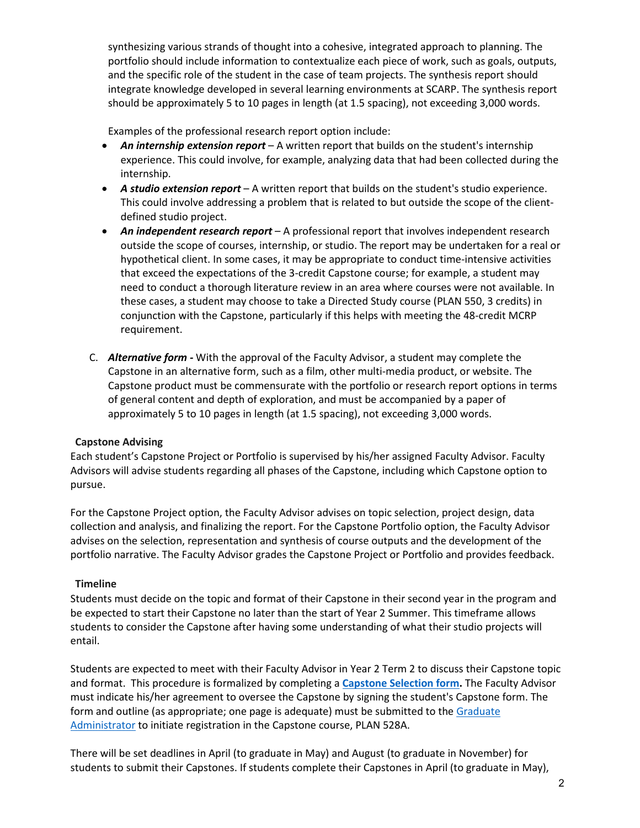synthesizing various strands of thought into a cohesive, integrated approach to planning. The portfolio should include information to contextualize each piece of work, such as goals, outputs, and the specific role of the student in the case of team projects. The synthesis report should integrate knowledge developed in several learning environments at SCARP. The synthesis report should be approximately 5 to 10 pages in length (at 1.5 spacing), not exceeding 3,000 words.

Examples of the professional research report option include:

- *An internship extension report*  A written report that builds on the student's internship experience. This could involve, for example, analyzing data that had been collected during the internship.
- *A studio extension report*  A written report that builds on the student's studio experience. This could involve addressing a problem that is related to but outside the scope of the clientdefined studio project.
- *An independent research report* A professional report that involves independent research outside the scope of courses, internship, or studio. The report may be undertaken for a real or hypothetical client. In some cases, it may be appropriate to conduct time-intensive activities that exceed the expectations of the 3-credit Capstone course; for example, a student may need to conduct a thorough literature review in an area where courses were not available. In these cases, a student may choose to take a Directed Study course (PLAN 550, 3 credits) in conjunction with the Capstone, particularly if this helps with meeting the 48-credit MCRP requirement.
- C. *Alternative form -* With the approval of the Faculty Advisor, a student may complete the Capstone in an alternative form, such as a film, other multi-media product, or website. The Capstone product must be commensurate with the portfolio or research report options in terms of general content and depth of exploration, and must be accompanied by a paper of approximately 5 to 10 pages in length (at 1.5 spacing), not exceeding 3,000 words.

### **Capstone Advising**

Each student's Capstone Project or Portfolio is supervised by his/her assigned Faculty Advisor. Faculty Advisors will advise students regarding all phases of the Capstone, including which Capstone option to pursue.

For the Capstone Project option, the Faculty Advisor advises on topic selection, project design, data collection and analysis, and finalizing the report. For the Capstone Portfolio option, the Faculty Advisor advises on the selection, representation and synthesis of course outputs and the development of the portfolio narrative. The Faculty Advisor grades the Capstone Project or Portfolio and provides feedback.

### **Timeline**

Students must decide on the topic and format of their Capstone in their second year in the program and be expected to start their Capstone no later than the start of Year 2 Summer. This timeframe allows students to consider the Capstone after having some understanding of what their studio projects will entail.

Students are expected to meet with their Faculty Advisor in Year 2 Term 2 to discuss their Capstone topic and format. This procedure is formalized by completing a **[Capstone Selection form.](https://scarp.ubc.ca/sites/scarp.ubc.ca/files/Capstone%20Selection%20Form_0.pdf)** The Faculty Advisor must indicate his/her agreement to oversee the Capstone by signing the student's Capstone form. The form and outline (as appropriate; one page is adequate) must be submitted to the Graduate [Administrator](mailto:grad.scarp@ubc.ca) to initiate registration in the Capstone course, PLAN 528A.

There will be set deadlines in April (to graduate in May) and August (to graduate in November) for students to submit their Capstones. If students complete their Capstones in April (to graduate in May),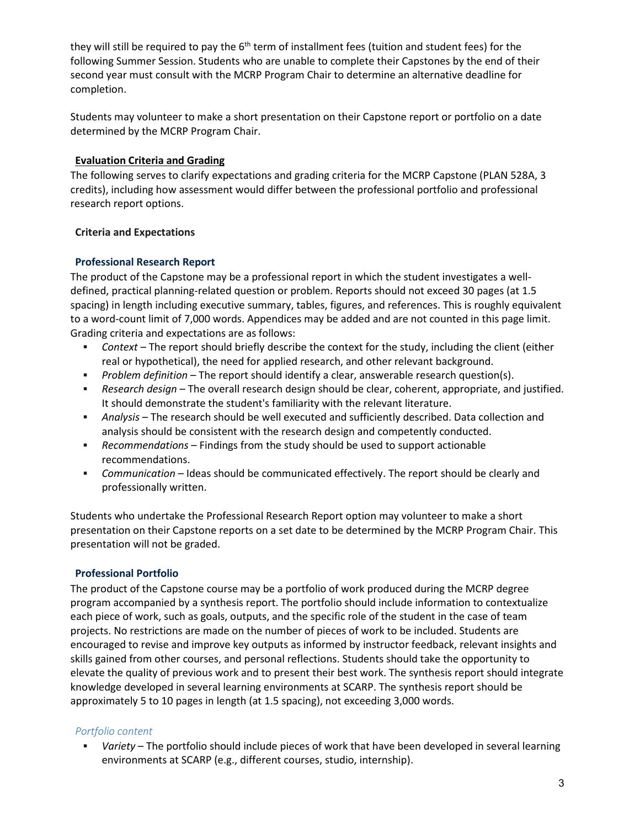they will still be required to pay the  $6<sup>th</sup>$  term of installment fees (tuition and student fees) for the following Summer Session. Students who are unable to complete their Capstones by the end of their second year must consult with the MCRP Program Chair to determine an alternative deadline for completion.

Students may volunteer to make a short presentation on their Capstone report or portfolio on a date determined by the MCRP Program Chair.

### **Evaluation Criteria and Grading**

The following serves to clarify expectations and grading criteria for the MCRP Capstone (PLAN 528A, 3 credits), including how assessment would differ between the professional portfolio and professional research report options.

### **Criteria and Expectations**

### **Professional Research Report**

The product of the Capstone may be a professional report in which the student investigates a welldefined, practical planning-related question or problem. Reports should not exceed 30 pages (at 1.5 spacing) in length including executive summary, tables, figures, and references. This is roughly equivalent to a word-count limit of 7,000 words. Appendices may be added and are not counted in this page limit. Grading criteria and expectations are as follows:

- *Context*  The report should briefly describe the context for the study, including the client (either real or hypothetical), the need for applied research, and other relevant background.
- *Problem definition* The report should identify a clear, answerable research question(s).
- *Research design*  The overall research design should be clear, coherent, appropriate, and justified. It should demonstrate the student's familiarity with the relevant literature.
- *Analysis*  The research should be well executed and sufficiently described. Data collection and analysis should be consistent with the research design and competently conducted.
- *Recommendations*  Findings from the study should be used to support actionable recommendations.
- *Communication* Ideas should be communicated effectively. The report should be clearly and professionally written.

Students who undertake the Professional Research Report option may volunteer to make a short presentation on their Capstone reports on a set date to be determined by the MCRP Program Chair. This presentation will not be graded.

### **Professional Portfolio**

The product of the Capstone course may be a portfolio of work produced during the MCRP degree program accompanied by a synthesis report. The portfolio should include information to contextualize each piece of work, such as goals, outputs, and the specific role of the student in the case of team projects. No restrictions are made on the number of pieces of work to be included. Students are encouraged to revise and improve key outputs as informed by instructor feedback, relevant insights and skills gained from other courses, and personal reflections. Students should take the opportunity to elevate the quality of previous work and to present their best work. The synthesis report should integrate knowledge developed in several learning environments at SCARP. The synthesis report should be approximately 5 to 10 pages in length (at 1.5 spacing), not exceeding 3,000 words.

## *Portfolio content*

 *Variety* – The portfolio should include pieces of work that have been developed in several learning environments at SCARP (e.g., different courses, studio, internship).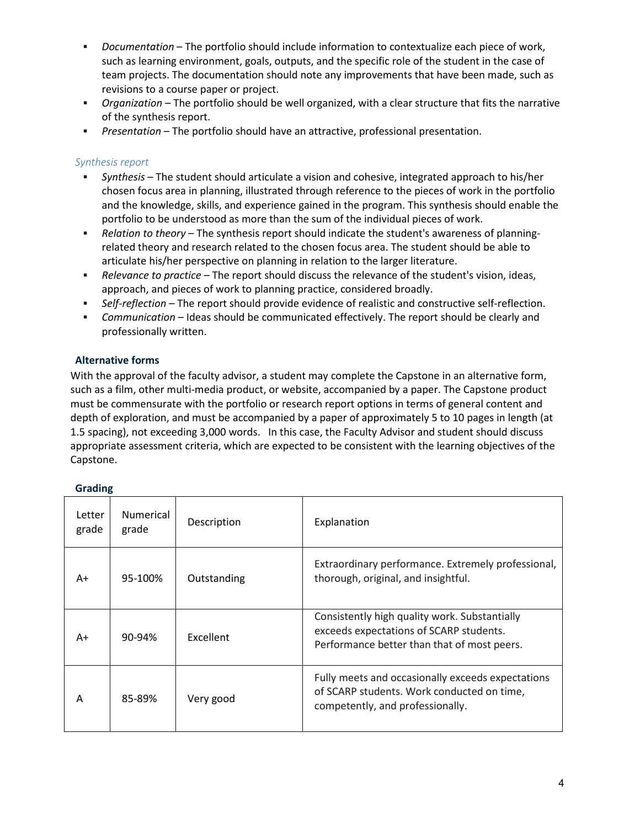- *Documentation*  The portfolio should include information to contextualize each piece of work, such as learning environment, goals, outputs, and the specific role of the student in the case of team projects. The documentation should note any improvements that have been made, such as revisions to a course paper or project.
- *Organization* The portfolio should be well organized, with a clear structure that fits the narrative of the synthesis report.
- *Presentation* The portfolio should have an attractive, professional presentation.

#### *Synthesis report*

- *Synthesis*  The student should articulate a vision and cohesive, integrated approach to his/her chosen focus area in planning, illustrated through reference to the pieces of work in the portfolio and the knowledge, skills, and experience gained in the program. This synthesis should enable the portfolio to be understood as more than the sum of the individual pieces of work.
- *Relation to theory*  The synthesis report should indicate the student's awareness of planningrelated theory and research related to the chosen focus area. The student should be able to articulate his/her perspective on planning in relation to the larger literature.
- *Relevance to practice*  The report should discuss the relevance of the student's vision, ideas, approach, and pieces of work to planning practice, considered broadly.
- *Self-reflection*  The report should provide evidence of realistic and constructive self-reflection.
- **Communication Ideas should be communicated effectively. The report should be clearly and** professionally written.

### **Alternative forms**

With the approval of the faculty advisor, a student may complete the Capstone in an alternative form, such as a film, other multi-media product, or website, accompanied by a paper. The Capstone product must be commensurate with the portfolio or research report options in terms of general content and depth of exploration, and must be accompanied by a paper of approximately 5 to 10 pages in length (at 1.5 spacing), not exceeding 3,000 words. In this case, the Faculty Advisor and student should discuss appropriate assessment criteria, which are expected to be consistent with the learning objectives of the Capstone.

| Letter<br>grade | <b>Numerical</b><br>grade | Description | Explanation                                                                                                                             |
|-----------------|---------------------------|-------------|-----------------------------------------------------------------------------------------------------------------------------------------|
| A+              | 95-100%                   | Outstanding | Extraordinary performance. Extremely professional,<br>thorough, original, and insightful.                                               |
| A+              | 90-94%                    | Excellent   | Consistently high quality work. Substantially<br>exceeds expectations of SCARP students.<br>Performance better than that of most peers. |
| Α               | 85-89%                    | Very good   | Fully meets and occasionally exceeds expectations<br>of SCARP students. Work conducted on time,<br>competently, and professionally.     |

#### **Grading**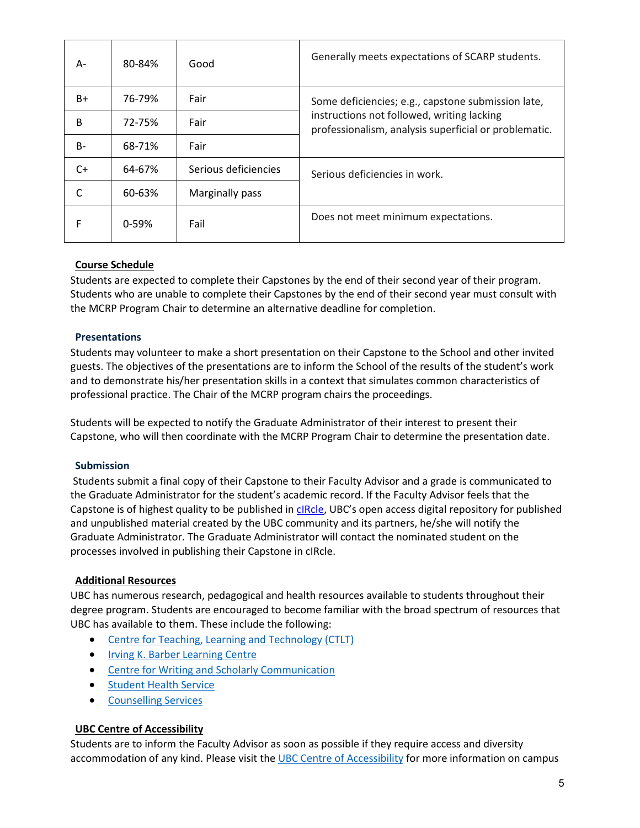| A-    | 80-84% | Good                 | Generally meets expectations of SCARP students.                                                                                                           |
|-------|--------|----------------------|-----------------------------------------------------------------------------------------------------------------------------------------------------------|
| $B+$  | 76-79% | Fair                 | Some deficiencies; e.g., capstone submission late,<br>instructions not followed, writing lacking<br>professionalism, analysis superficial or problematic. |
| B     | 72-75% | Fair                 |                                                                                                                                                           |
| $B -$ | 68-71% | Fair                 |                                                                                                                                                           |
| $C+$  | 64-67% | Serious deficiencies | Serious deficiencies in work.                                                                                                                             |
| C     | 60-63% | Marginally pass      |                                                                                                                                                           |
| F     | 0-59%  | Fail                 | Does not meet minimum expectations.                                                                                                                       |

# **Course Schedule**

Students are expected to complete their Capstones by the end of their second year of their program. Students who are unable to complete their Capstones by the end of their second year must consult with the MCRP Program Chair to determine an alternative deadline for completion.

## **Presentations**

Students may volunteer to make a short presentation on their Capstone to the School and other invited guests. The objectives of the presentations are to inform the School of the results of the student's work and to demonstrate his/her presentation skills in a context that simulates common characteristics of professional practice. The Chair of the MCRP program chairs the proceedings.

Students will be expected to notify the Graduate Administrator of their interest to present their Capstone, who will then coordinate with the MCRP Program Chair to determine the presentation date.

## **Submission**

Students submit a final copy of their Capstone to their Faculty Advisor and a grade is communicated to the Graduate Administrator for the student's academic record. If the Faculty Advisor feels that the Capstone is of highest quality to be published in [cIRcle,](http://circle.ubc.ca/) UBC's open access digital repository for published and unpublished material created by the UBC community and its partners, he/she will notify the Graduate Administrator. The Graduate Administrator will contact the nominated student on the processes involved in publishing their Capstone in cIRcle.

## **Additional Resources**

UBC has numerous research, pedagogical and health resources available to students throughout their degree program. Students are encouraged to become familiar with the broad spectrum of resources that UBC has available to them. These include the following:

- [Centre for Teaching, Learning and Technology \(CTLT\)](https://ctlt.ubc.ca/)
- [Irving K. Barber Learning Centre](https://ikblc.ubc.ca/)
- [Centre for Writing and Scholarly Communication](https://learningcommons.ubc.ca/improve-your-writing/)
- [Student Health Service](https://students.ubc.ca/health/student-health-service)
- [Counselling Services](https://students.ubc.ca/health/counselling-services)

### **UBC Centre of Accessibility**

Students are to inform the Faculty Advisor as soon as possible if they require access and diversity accommodation of any kind. Please visit the [UBC Centre of Accessibility](https://students.ubc.ca/about-student-services/centre-for-accessibility) for more information on campus